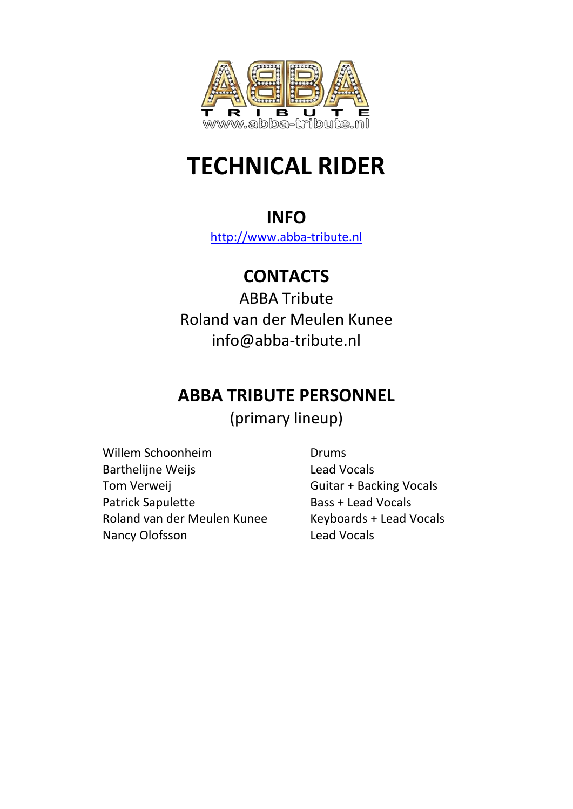

# **TECHNICAL RIDER**

### **INFO**

[http://www.abba-tribute.nl](http://www.abba-tribute.nl/)

# **CONTACTS**

ABBA Tribute Roland van der Meulen Kunee info@abba-tribute.nl

# **ABBA TRIBUTE PERSONNEL**

(primary lineup)

Willem Schoonheim **Drums** Barthelijne Weijs **Lead Vocals** Tom Verweij **Guitar + Backing Vocals** Patrick Sapulette Bass + Lead Vocals Roland van der Meulen Kunee Keyboards + Lead Vocals Nancy Olofsson Lead Vocals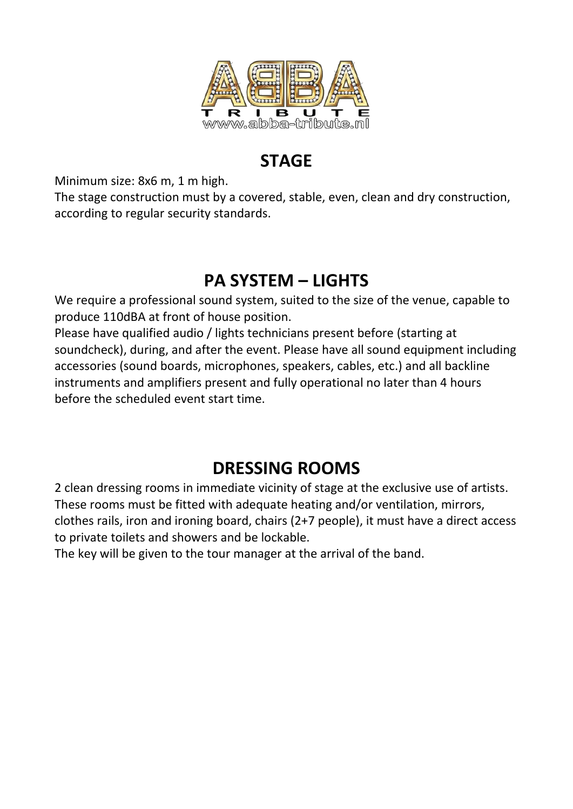

## **STAGE**

Minimum size: 8x6 m, 1 m high.

The stage construction must by a covered, stable, even, clean and dry construction, according to regular security standards.

# **PA SYSTEM – LIGHTS**

We require a professional sound system, suited to the size of the venue, capable to produce 110dBA at front of house position.

Please have qualified audio / lights technicians present before (starting at soundcheck), during, and after the event. Please have all sound equipment including accessories (sound boards, microphones, speakers, cables, etc.) and all backline instruments and amplifiers present and fully operational no later than 4 hours before the scheduled event start time.

# **DRESSING ROOMS**

2 clean dressing rooms in immediate vicinity of stage at the exclusive use of artists. These rooms must be fitted with adequate heating and/or ventilation, mirrors, clothes rails, iron and ironing board, chairs (2+7 people), it must have a direct access to private toilets and showers and be lockable.

The key will be given to the tour manager at the arrival of the band.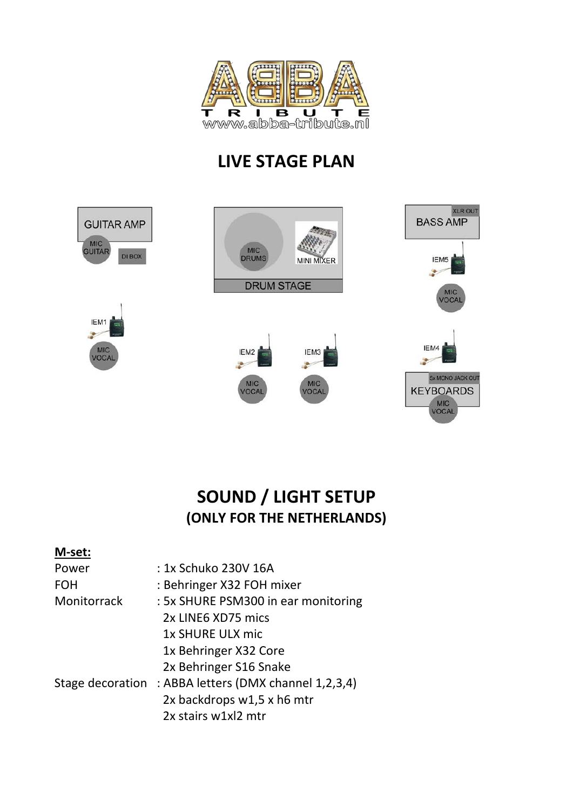

# **LIVE STAGE PLAN**



## **SOUND / LIGHT SETUP (ONLY FOR THE NETHERLANDS)**

#### **M-set:**

| Power              | : 1x Schuko 230V 16A                 |  |  |
|--------------------|--------------------------------------|--|--|
| <b>FOH</b>         | : Behringer X32 FOH mixer            |  |  |
| <b>Monitorrack</b> | : 5x SHURE PSM300 in ear monitoring  |  |  |
|                    | 2x LINE6 XD75 mics                   |  |  |
|                    | 1x SHURE ULX mic                     |  |  |
|                    | 1x Behringer X32 Core                |  |  |
|                    | 2x Behringer S16 Snake               |  |  |
| Stage decoration   | : ABBA letters (DMX channel 1,2,3,4) |  |  |
|                    | 2x backdrops w1,5 x h6 mtr           |  |  |
|                    | 2x stairs w1xl2 mtr                  |  |  |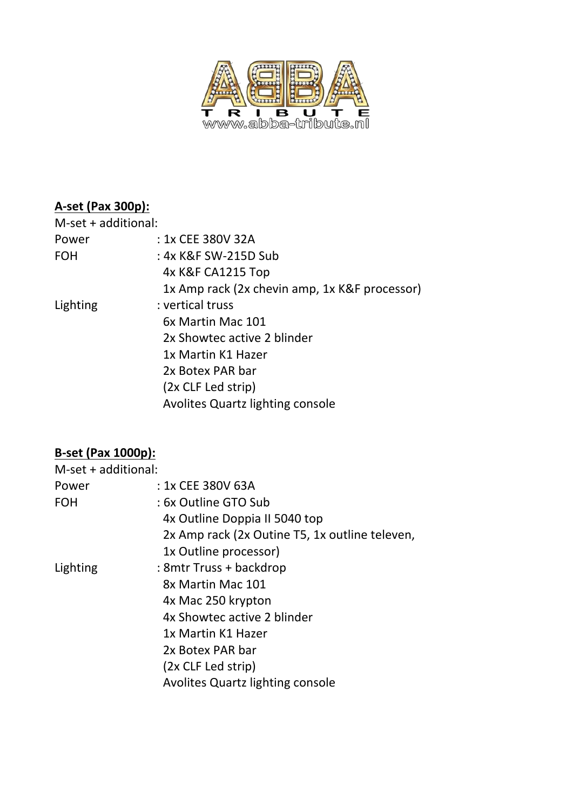

#### **A-set (Pax 300p):**

| $M$ -set + additional: |                                               |
|------------------------|-----------------------------------------------|
| Power                  | : 1x CEE 380V 32A                             |
| <b>FOH</b>             | : 4x K&F SW-215D Sub                          |
|                        | 4x K&F CA1215 Top                             |
|                        | 1x Amp rack (2x chevin amp, 1x K&F processor) |
| Lighting               | : vertical truss                              |
|                        | 6x Martin Mac 101                             |
|                        | 2x Showtec active 2 blinder                   |
|                        | 1x Martin K1 Hazer                            |
|                        | 2x Botex PAR bar                              |
|                        | (2x CLF Led strip)                            |
|                        | <b>Avolites Quartz lighting console</b>       |
|                        |                                               |

#### **B-set (Pax 1000p):**

| $M-set + additional:$ |                                                |
|-----------------------|------------------------------------------------|
| Power                 | : 1x CEE 380V 63A                              |
| <b>FOH</b>            | : 6x Outline GTO Sub                           |
|                       | 4x Outline Doppia II 5040 top                  |
|                       | 2x Amp rack (2x Outine T5, 1x outline televen, |
|                       | 1x Outline processor)                          |
| Lighting              | : 8mtr Truss + backdrop                        |
|                       | 8x Martin Mac 101                              |
|                       | 4x Mac 250 krypton                             |
|                       | 4x Showtec active 2 blinder                    |
|                       | 1x Martin K1 Hazer                             |
|                       | 2x Botex PAR bar                               |
|                       | (2x CLF Led strip)                             |
|                       | <b>Avolites Quartz lighting console</b>        |
|                       |                                                |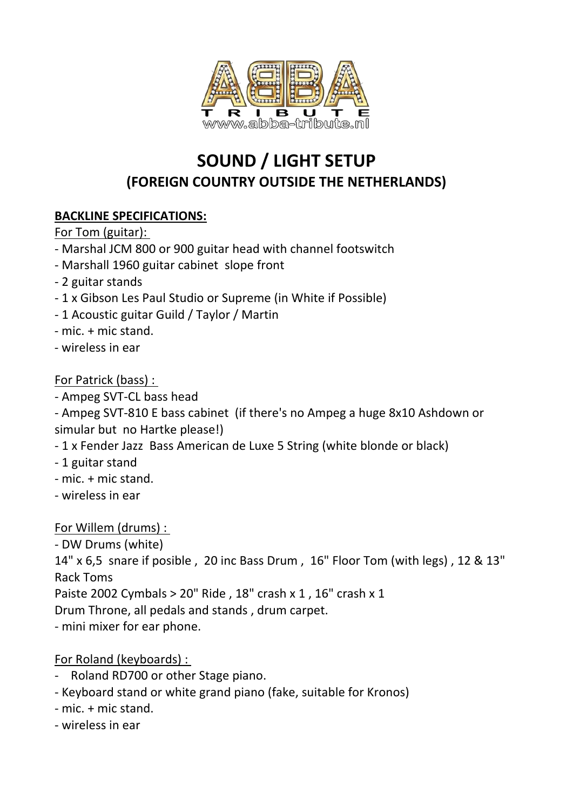

# **SOUND / LIGHT SETUP (FOREIGN COUNTRY OUTSIDE THE NETHERLANDS)**

#### **BACKLINE SPECIFICATIONS:**

For Tom (guitar):

- Marshal JCM 800 or 900 guitar head with channel footswitch
- Marshall 1960 guitar cabinet slope front
- 2 guitar stands
- 1 x Gibson Les Paul Studio or Supreme (in White if Possible)
- 1 Acoustic guitar Guild / Taylor / Martin
- mic. + mic stand.
- wireless in ear

For Patrick (bass) :

- Ampeg SVT-CL bass head

- Ampeg SVT-810 E bass cabinet (if there's no Ampeg a huge 8x10 Ashdown or simular but no Hartke please!)

- 1 x Fender Jazz Bass American de Luxe 5 String (white blonde or black)
- 1 guitar stand
- mic. + mic stand.
- wireless in ear

For Willem (drums) :

- DW Drums (white)

14" x 6,5 snare if posible , 20 inc Bass Drum , 16" Floor Tom (with legs) , 12 & 13" Rack Toms

Paiste 2002 Cymbals > 20" Ride , 18" crash x 1 , 16" crash x 1

Drum Throne, all pedals and stands , drum carpet.

- mini mixer for ear phone.

For Roland (keyboards) :

- Roland RD700 or other Stage piano.
- Keyboard stand or white grand piano (fake, suitable for Kronos)
- mic. + mic stand.
- wireless in ear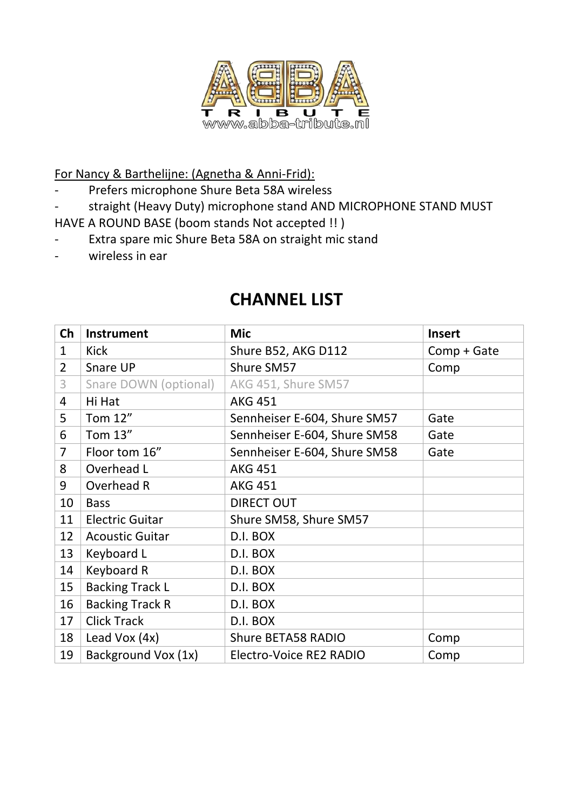

For Nancy & Barthelijne: (Agnetha & Anni-Frid):

- Prefers microphone Shure Beta 58A wireless
- straight (Heavy Duty) microphone stand AND MICROPHONE STAND MUST

HAVE A ROUND BASE (boom stands Not accepted !! )

- Extra spare mic Shure Beta 58A on straight mic stand
- wireless in ear

| Ch             | <b>Instrument</b>      | <b>Mic</b>                           | <b>Insert</b> |
|----------------|------------------------|--------------------------------------|---------------|
| $\mathbf{1}$   | Kick                   | Shure B52, AKG D112                  | Comp + Gate   |
| $\overline{2}$ | Snare UP               | Shure SM57                           | Comp          |
| 3              | Snare DOWN (optional)  | AKG 451, Shure SM57                  |               |
| 4              | Hi Hat                 | <b>AKG 451</b>                       |               |
| 5              | Tom 12"                | Sennheiser E-604, Shure SM57         | Gate          |
| 6              | Tom 13"                | Sennheiser E-604, Shure SM58<br>Gate |               |
| $\overline{7}$ | Floor tom 16"          | Sennheiser E-604, Shure SM58         | Gate          |
| 8              | Overhead L             | <b>AKG 451</b>                       |               |
| 9              | Overhead R             | <b>AKG 451</b>                       |               |
| 10             | <b>Bass</b>            | <b>DIRECT OUT</b>                    |               |
| 11             | <b>Electric Guitar</b> | Shure SM58, Shure SM57               |               |
| 12             | <b>Acoustic Guitar</b> | D.I. BOX                             |               |
| 13             | Keyboard L             | D.I. BOX                             |               |
| 14             | Keyboard R             | D.I. BOX                             |               |
| 15             | <b>Backing Track L</b> | D.I. BOX                             |               |
| 16             | <b>Backing Track R</b> | D.I. BOX                             |               |
| 17             | <b>Click Track</b>     | D.I. BOX                             |               |
| 18             | Lead Vox (4x)          | <b>Shure BETA58 RADIO</b>            | Comp          |
| 19             | Background Vox (1x)    | Electro-Voice RE2 RADIO              | Comp          |

## **CHANNEL LIST**